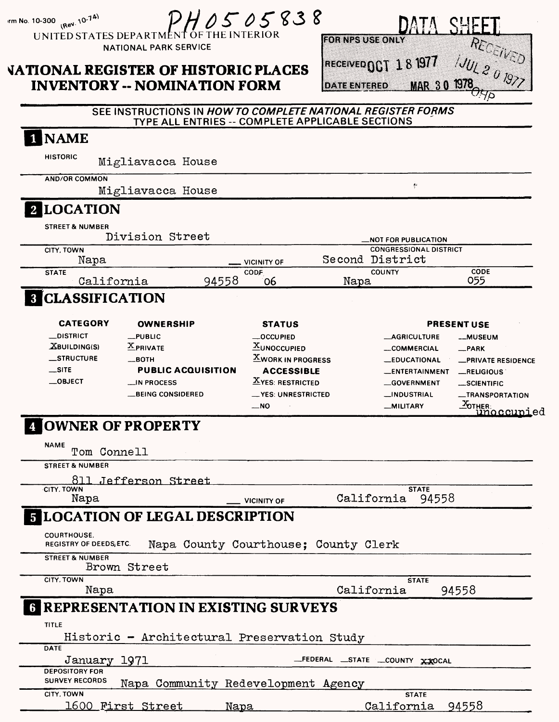|                                                                                                                   | UNITED STATES DEPARTMENT OF THE INTERIOR<br><b>NATIONAL PARK SERVICE</b><br><b>VATIONAL REGISTER OF HISTORIC PLACES</b><br><b>INVENTORY -- NOMINATION FORM</b> |                                                                                                                                                                       | <b>FOR NPS USE ONLY</b><br><b>IDATE ENTERED</b> | IAECEIVED $001\ 18\ 1977$<br><b>MAR 30</b>                                                                                               | RECEIVED                                                                                                                                                                       |
|-------------------------------------------------------------------------------------------------------------------|----------------------------------------------------------------------------------------------------------------------------------------------------------------|-----------------------------------------------------------------------------------------------------------------------------------------------------------------------|-------------------------------------------------|------------------------------------------------------------------------------------------------------------------------------------------|--------------------------------------------------------------------------------------------------------------------------------------------------------------------------------|
|                                                                                                                   | SEE INSTRUCTIONS IN HOW TO COMPLETE NATIONAL REGISTER FORMS<br>TYPE ALL ENTRIES -- COMPLETE APPLICABLE SECTIONS                                                |                                                                                                                                                                       |                                                 |                                                                                                                                          |                                                                                                                                                                                |
| <b>NAME</b>                                                                                                       |                                                                                                                                                                |                                                                                                                                                                       |                                                 |                                                                                                                                          |                                                                                                                                                                                |
| HISTORIC                                                                                                          | Migliavacca House                                                                                                                                              |                                                                                                                                                                       |                                                 |                                                                                                                                          |                                                                                                                                                                                |
| <b>AND/OR COMMON</b>                                                                                              | Migliavacca House                                                                                                                                              |                                                                                                                                                                       |                                                 | ę                                                                                                                                        |                                                                                                                                                                                |
| <b>LOCATION</b>                                                                                                   |                                                                                                                                                                |                                                                                                                                                                       |                                                 |                                                                                                                                          |                                                                                                                                                                                |
| <b>STREET &amp; NUMBER</b><br>CITY, TOWN                                                                          | Division Street                                                                                                                                                |                                                                                                                                                                       |                                                 | <b>NOT FOR PUBLICATION.</b><br><b>CONGRESSIONAL DISTRICT</b>                                                                             |                                                                                                                                                                                |
| Napa                                                                                                              |                                                                                                                                                                | <b>VICINITY OF</b>                                                                                                                                                    | Second District                                 |                                                                                                                                          |                                                                                                                                                                                |
| <b>STATE</b><br>California                                                                                        | 94558                                                                                                                                                          | CODF<br>06                                                                                                                                                            | Napa                                            | <b>COUNTY</b>                                                                                                                            | CODE<br>055                                                                                                                                                                    |
| <b>8 CLASSIFICATION</b>                                                                                           |                                                                                                                                                                |                                                                                                                                                                       |                                                 |                                                                                                                                          |                                                                                                                                                                                |
| <b>CATEGORY</b><br><b>__DISTRICT</b><br><b>XBUILDING(S)</b><br><b>__STRUCTURE</b><br>$\equiv$ SITE<br>$\_$ OBJECT | <b>OWNERSHIP</b><br>$$ PUBLIC<br>$X$ PRIVATE<br><u> вотн</u><br><b>PUBLIC ACQUISITION</b><br>$\Box$ IN PROCESS<br><b>_BEING CONSIDERED</b>                     | <b>STATUS</b><br><b>__OCCUPIED</b><br><b>XUNOCCUPIED</b><br><b>XWORK IN PROGRESS</b><br><b>ACCESSIBLE</b><br><b>XYES: RESTRICTED</b><br>__YES: UNRESTRICTED<br>$-$ NO |                                                 | <b>_AGRICULTURE</b><br>__COMMERCIAL<br><b>__EDUCATIONAL</b><br>__ENTERTAINMENT<br><b>__GOVERNMENT</b><br>__INDUSTRIAL<br><b>MILITARY</b> | <b>PRESENT USE</b><br><b>__MUSEUM</b><br>$R$ PARK<br><b>_PRIVATE RESIDENCE</b><br>$m$ RELIGIOUS<br>__SCIENTIFIC<br><b>__TRANSPORTATION</b><br>X <sub>OTHER</sub><br>Unoccupied |
|                                                                                                                   | OWNER OF PROPERTY                                                                                                                                              |                                                                                                                                                                       |                                                 |                                                                                                                                          |                                                                                                                                                                                |
| <b>NAME</b><br>Tom Connell                                                                                        |                                                                                                                                                                |                                                                                                                                                                       |                                                 |                                                                                                                                          |                                                                                                                                                                                |
| <b>STREET &amp; NUMBER</b>                                                                                        |                                                                                                                                                                |                                                                                                                                                                       |                                                 |                                                                                                                                          |                                                                                                                                                                                |
| CITY, TOWN                                                                                                        | 811 Jefferson Street                                                                                                                                           |                                                                                                                                                                       |                                                 | <b>STATE</b>                                                                                                                             |                                                                                                                                                                                |
| Napa                                                                                                              |                                                                                                                                                                | <b>VICINITY OF</b>                                                                                                                                                    | California                                      | 94558                                                                                                                                    |                                                                                                                                                                                |
|                                                                                                                   | <b>5 LOCATION OF LEGAL DESCRIPTION</b>                                                                                                                         |                                                                                                                                                                       |                                                 |                                                                                                                                          |                                                                                                                                                                                |
| COURTHOUSE.<br>REGISTRY OF DEEDS, ETC.                                                                            | Napa County Courthouse: County Clerk                                                                                                                           |                                                                                                                                                                       |                                                 |                                                                                                                                          |                                                                                                                                                                                |
| <b>STREET &amp; NUMBER</b>                                                                                        | Brown Street                                                                                                                                                   |                                                                                                                                                                       |                                                 |                                                                                                                                          |                                                                                                                                                                                |
|                                                                                                                   |                                                                                                                                                                |                                                                                                                                                                       | California                                      | <b>STATE</b>                                                                                                                             | 94558                                                                                                                                                                          |
| CITY, TOWN                                                                                                        |                                                                                                                                                                |                                                                                                                                                                       |                                                 |                                                                                                                                          |                                                                                                                                                                                |
| Napa<br><b>TITLE</b>                                                                                              | <b>6 REPRESENTATION IN EXISTING SURVEYS</b>                                                                                                                    |                                                                                                                                                                       |                                                 |                                                                                                                                          |                                                                                                                                                                                |
| <b>DATE</b>                                                                                                       | Historic - Architectural Preservation Study                                                                                                                    |                                                                                                                                                                       |                                                 |                                                                                                                                          |                                                                                                                                                                                |
| January 1971<br><b>DEPOSITORY FOR</b>                                                                             |                                                                                                                                                                |                                                                                                                                                                       |                                                 | _FEDERAL _STATE _COUNTY XXOCAL                                                                                                           |                                                                                                                                                                                |
| <b>SURVEY RECORDS</b><br>CITY, TOWN                                                                               | Napa Community Redevelopment Agency                                                                                                                            |                                                                                                                                                                       |                                                 | <b>STATE</b>                                                                                                                             |                                                                                                                                                                                |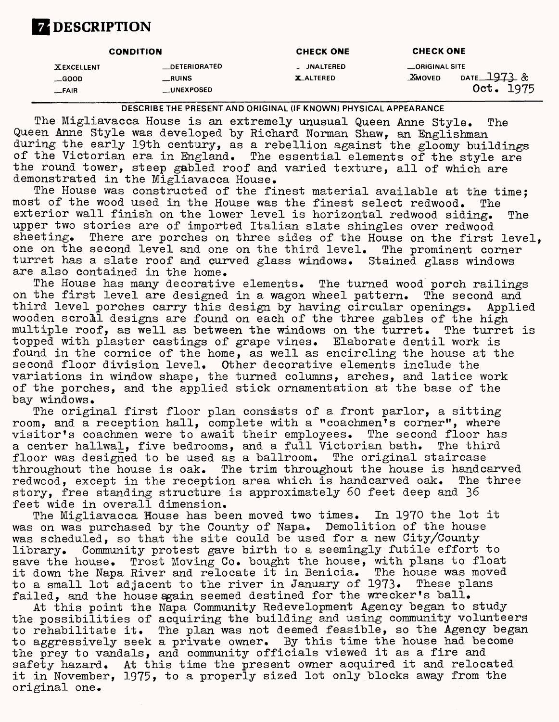# **ZDESCRIPTION**

| <b>CONDITION</b>                              |                                                           | <b>CHECK ONE</b>                     | <b>CHECK ONE</b>                                               |
|-----------------------------------------------|-----------------------------------------------------------|--------------------------------------|----------------------------------------------------------------|
| <b>XEXCELLENT</b><br>$\equiv$ GOOD<br>$-FAIR$ | <b>__DETERIORATED</b><br>$\_$ RUINS<br><b>__UNEXPOSED</b> | <b>JNALTERED</b><br><b>X_ALTERED</b> | _ORIGINAL SITE<br>DATE 1973 &<br><b>XMOVED</b><br>1975<br>0ct. |

DESCRIBE THE PRESENT AND ORIGINAL (IF KNOWN) PHYSICAL APPEARANCE

The Migliavacca House is an extremely unusual Queen Anne Style. The Queen Anne Style was developed by Richard Norman Shaw, an Englishman during the early 19th century, as a rebellion against the gloomy buildings of the Victorian era in England. The essential elements of the style are the round tower, steep gabled roof and varied texture, all of which are demonstrated in the Migliavacca House.

The House was constructed of the finest material available at the time; most of the wood used in the House was the finest select redwood. The exterior wall finish on the lower level is horizontal redwood siding. The upper two stories are of imported Italian slate shingles over redwood<br>sheeting. There are porches on three sides of the House on the first There are porches on three sides of the House on the first level. one on the second level and one on the third level. The prominent corner turret has a slate roof and curved glass windows. Stained glass windows are also contained in the home.

The House has many decorative elements. The turned wood porch railings on the first level are designed in a wagon wheel pattern. The second and third level porches carry this design by having circular openings. Applied wooden scroll designs are found on each of the three gables of the high multiple roof, as well as between the windows on the turret. The turret is topped with plaster castings of grape vines. Elaborate dentil work is found in the cornice of the home, as well as encircling the house at the second floor division level. Other decorative elements include the variations in window shape, the turned columns, arches, and latice work of the porches, and the applied stick ornamentation at the base of the bay windows.

The original first floor plan consists of a front parlor, a sitting room, and a reception hall, complete with a "coachmen's corner", where visitor's coachmen were to await their employees. The second floor has a center hallwal, five bedrooms, and a full Victorian bath. The third<br>floor was designed to be used as a ballroom. The original staircase floor was designed to be used as a ballroom. throughout the house is oak. The trim throughout the house is handcarved redwood, except in the reception area which is handcarved oak. The three story, free standing structure is approximately 60 feet deep and 36 feet wide in overall dimension.

The Migliavacca House has been moved two times. In 1970 the lot it was on was purchased by the County of Napa. Demolition of the house was scheduled, so that the site could be used for a new City/County library. Community protest gave birth to a seemingly futile effort to save the house. Trost Moving Co. bought the house, with plans to float it down the Napa River and relocate it in Benicia. The house was moved to a small lot adjacent to the river in January of 1973. These plans failed, and the house again seemed destined for the wrecker's ball.

At this point the Napa Community Redevelopment Agency began to study the possibilities of acquiring the building and using community volunteers to rehabilitate it. The plan was not deemed feasible, so the Agency began to aggressively seek a private owner. By this time the house had become the prey to vandals, and community officials viewed it as a fire and safety hazard. At this time the present owner acquired it and relocated it in November, 1975, to a properly sized lot only blocks away from the original one.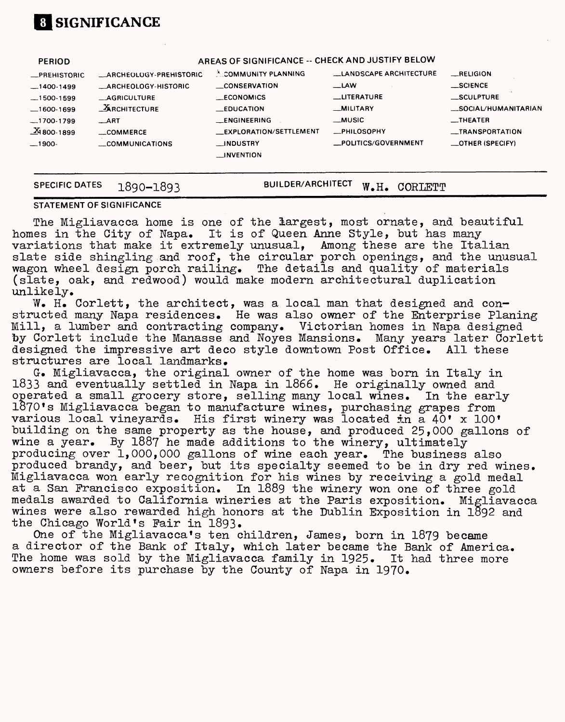# **[I SIGNIFICANCE**

| <b>PERIOD</b>           |                                   | AREAS OF SIGNIFICANCE -- CHECK AND JUSTIFY BELOW |                               |                                  |
|-------------------------|-----------------------------------|--------------------------------------------------|-------------------------------|----------------------------------|
| <b>_PREHISTORIC</b>     | <b>ARCHEOLOGY-PREHISTORIC</b>     | <sup>X</sup> COMMUNITY PLANNING                  | <b>LANDSCAPE ARCHITECTURE</b> | RELIGION                         |
| $-1400-1499$            | <b>_ARCHEOLOGY-HISTORIC</b>       | <b>CONSERVATION</b>                              | $\equiv$ LAW                  | $\_$ SCIENCE                     |
| $-1500-1599$            | <b>AGRICULTURE</b>                | <b>ECONOMICS</b>                                 | <b>LITERATURE</b>             | _SCULPTURE                       |
| $-1600-1699$            | $\mathbf{\mathbf{A}}$ RCHITECTURE | <b>EDUCATION</b>                                 | <b>MILITARY</b>               | _SOCIAL/HUMANITARIAN             |
| $-1700-1799$            | $\_$ ART                          | <b>LENGINEERING</b>                              | __MUSIC                       | $\overline{\phantom{0}}$ THEATER |
| $\frac{X}{24}$ 800-1899 | $\_$ COMMERCE                     | _EXPLORATION/SETTLEMENT                          | <b>__PHILOSOPHY</b>           | <b>__TRANSPORTATION</b>          |
| $-1900-$                | <b>COMMUNICATIONS</b>             | <b>NDUSTRY</b>                                   | _POLITICS/GOVERNMENT          | $\equiv$ OTHER (SPECIFY)         |
|                         |                                   | <b>LINVENTION</b>                                |                               |                                  |
|                         |                                   |                                                  |                               |                                  |
| <b>SPECIFIC DATES</b>   | 1890-1893                         | <b>BUILDER/ARCHITECT</b>                         | W.H.<br>CORLETT               |                                  |

#### **STATEMENT OF SIGNIFICANCE**

The Migliavacca home is one of the largest, most ornate, and beautiful homes in the City of Napa. It is of Queen Anne Style, but has many variations that make it extremely unusual, Among these are the Italian slate side shingling and roof, the circular porch openings, and the unusual wagon wheel design porch railing. The details and quality of materials (slate, oak, and redwood) would make modern architectural duplication unlikely.

W. H. Corlett, the architect, was a local man that designed and constructed many Napa residences. He was also owner of the Enterprise Planing Mill, a lumber and contracting company. Victorian homes in Napa designed by Corlett include the Manasse and Noyes Mansions. Many years later Corlett designed the impressive art deco style downtown Post Office. All these structures are local landmarks.

G-. Migliavacca, the original owner of the home was born in Italy in 1833 and eventually settled in Napa in 1866. He originally owned and operated a small grocery store, selling many local wines. In the early  $1870$  s Migliavacca began to manufacture wines, purchasing grapes from various local vineyards. His first winery was located in a 40' x 100' building on the same property as the house, and produced 25,000 gallons of wine a year. By 1887 he made additions to the winery, ultimately producing over 1,000,000 gallons of wine each year. The business also produced brandy, and beer, but its specialty seemed to be in dry red wines. Migliavacca won early recognition for his wines by receiving a gold medal at a San Francisco exposition. In 1889 the winery won one of three gold medals awarded to California wineries at the Paris exposition. Migliavacca wines were also rewarded high honors at the Dublin Exposition in  $1892$  and the Chicago World's Pair in 1893.

One of the Migliavacca's ten children, James, born in 1879 became a director of the Bank of Italy, which later became the Bank of America. The home was sold by the Migliavacca family in 1925. It had three more owners before its purchase by the County of Napa in 1970.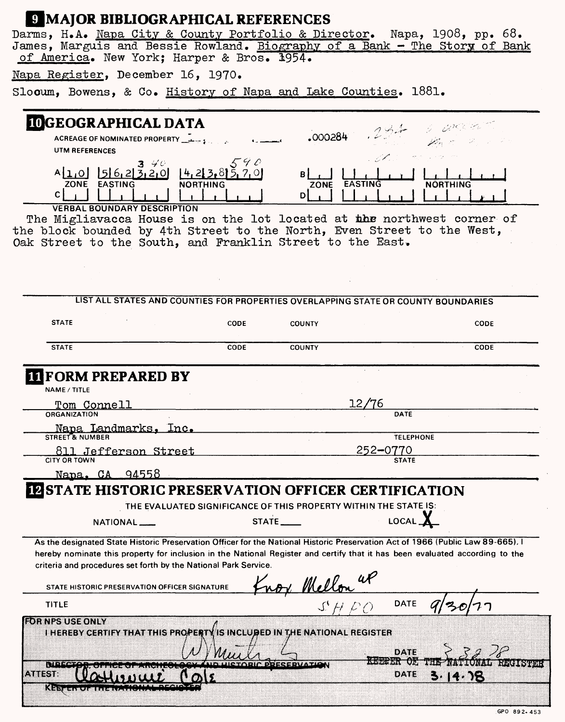## **H** MAJOR BIBLIOGRAPHICAL REFERENCES

Darms, H.A. <u>Napa City & County Portfolio & Director</u>. Napa, 1908, pp. 68. James, Marguis and Bessie Rowland. <u>Biography of a Bank - The Story of Bank</u> of America. New York; Harper & Bros. 1954.

Napa Register, December 16, 1970.

Slooum, Bowens, & Co. History of Napa and Lake Counties. 1881.

| <b>IOGEOGRAPHICAL DATA</b>                                                                                                                                                                                                                                                                                                         |                 |                   |                          |                  |
|------------------------------------------------------------------------------------------------------------------------------------------------------------------------------------------------------------------------------------------------------------------------------------------------------------------------------------|-----------------|-------------------|--------------------------|------------------|
| ACREAGE OF NOMINATED PROPERTY                                                                                                                                                                                                                                                                                                      |                 | .000284           |                          |                  |
| UTM REFERENCES                                                                                                                                                                                                                                                                                                                     |                 |                   |                          |                  |
| 1562320<br>ZONE EASTING<br>C.                                                                                                                                                                                                                                                                                                      | <b>NORTHING</b> | <b>ZONE</b><br>Dİ | <b>EASTING</b>           | <b>NORTHING</b>  |
| <b>VERBAL BOUNDARY DESCRIPTION</b><br>The Migliavacca House is on the lot located at the northwest corner of                                                                                                                                                                                                                       |                 |                   |                          |                  |
| the block bounded by 4th Street to the North, Even Street to the West,                                                                                                                                                                                                                                                             |                 |                   |                          |                  |
| Oak Street to the South, and Franklin Street to the East.                                                                                                                                                                                                                                                                          |                 |                   |                          |                  |
|                                                                                                                                                                                                                                                                                                                                    |                 |                   |                          |                  |
|                                                                                                                                                                                                                                                                                                                                    |                 |                   |                          |                  |
|                                                                                                                                                                                                                                                                                                                                    |                 |                   |                          |                  |
| LIST ALL STATES AND COUNTIES FOR PROPERTIES OVERLAPPING STATE OR COUNTY BOUNDARIES                                                                                                                                                                                                                                                 |                 |                   |                          |                  |
|                                                                                                                                                                                                                                                                                                                                    |                 |                   |                          |                  |
| <b>STATE</b>                                                                                                                                                                                                                                                                                                                       | <b>CODE</b>     | <b>COUNTY</b>     |                          | <b>CODE</b>      |
| <b>STATE</b>                                                                                                                                                                                                                                                                                                                       | CODE            | <b>COUNTY</b>     |                          | <b>CODE</b>      |
|                                                                                                                                                                                                                                                                                                                                    |                 |                   |                          |                  |
| Tom Connell<br><b>ORGANIZATION</b><br>Napa Landmarks.<br>lnc.                                                                                                                                                                                                                                                                      |                 |                   | '6<br>DATE               |                  |
| STREET & NUMBER                                                                                                                                                                                                                                                                                                                    |                 |                   |                          | <b>TELEPHONE</b> |
| 811 Jefferson Street<br><b>CITY OR TOWN</b>                                                                                                                                                                                                                                                                                        |                 |                   | 252-0770<br><b>STATE</b> |                  |
| Napa. CA 94558                                                                                                                                                                                                                                                                                                                     |                 |                   |                          |                  |
| <b>IZSTATE HISTORIC PRESERVATION OFFICER CERTIFICATION</b>                                                                                                                                                                                                                                                                         |                 |                   |                          |                  |
|                                                                                                                                                                                                                                                                                                                                    |                 |                   |                          |                  |
| THE EVALUATED SIGNIFICANCE OF THIS PROPERTY WITHIN THE STATE IS:                                                                                                                                                                                                                                                                   |                 |                   |                          |                  |
| NATIONAL <sub>__</sub>                                                                                                                                                                                                                                                                                                             |                 | STATE__           |                          |                  |
| As the designated State Historic Preservation Officer for the National Historic Preservation Act of 1966 (Public Law 89-665). I<br>hereby nominate this property for inclusion in the National Register and certify that it has been evaluated according to the<br>criteria and procedures set forth by the National Park Service. |                 |                   |                          |                  |
| STATE HISTORIC PRESERVATION OFFICER SIGNATURE                                                                                                                                                                                                                                                                                      |                 | nox Mellon at     |                          |                  |
| <b>TITLE</b>                                                                                                                                                                                                                                                                                                                       |                 |                   | <b>DATE</b>              |                  |
|                                                                                                                                                                                                                                                                                                                                    |                 |                   |                          |                  |
| <b>EDRINPS USE ONLY</b>                                                                                                                                                                                                                                                                                                            |                 |                   |                          |                  |
| I HEREBY CERTIFY THAT THIS PROPERTY IS INCLUBED IN THE NATIONAL REGISTER                                                                                                                                                                                                                                                           |                 |                   |                          |                  |
|                                                                                                                                                                                                                                                                                                                                    |                 |                   | DATE                     |                  |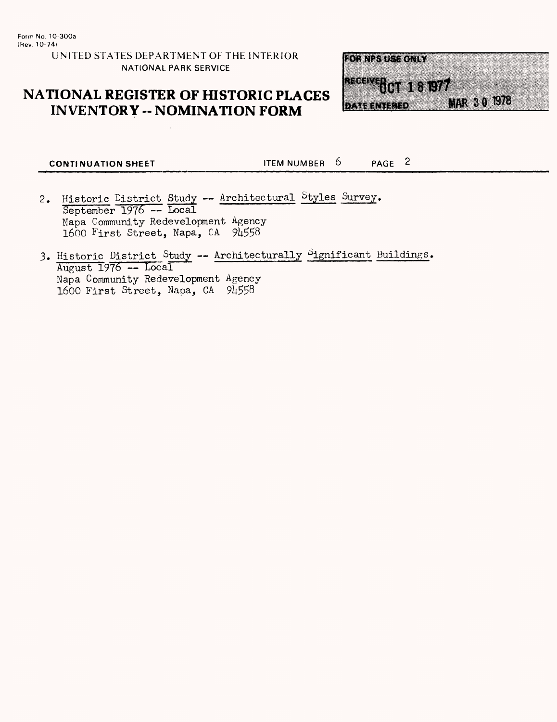**UNITED STATES DEPARTMENT OF THE INTERIOR NATIONAL PARK SERVICE**

## **NATIONAL REGISTER OF HISTORIC PLACES INVENTORY - NOMINATION FORM**



**CONTINUATION SHEET ITEM NUMBER 6** PAGE 2

- Historic District Study Architectural Styles Survey. September 1976 -- Local Napa Community Redevelopment Agency 1600 First Street, Napa, CA
- 3. Historic District Study -- Architecturally Significant Buildings. August 1976 — Local Napa Community Redevelopment Agency 1600 First Street, Napa, CA